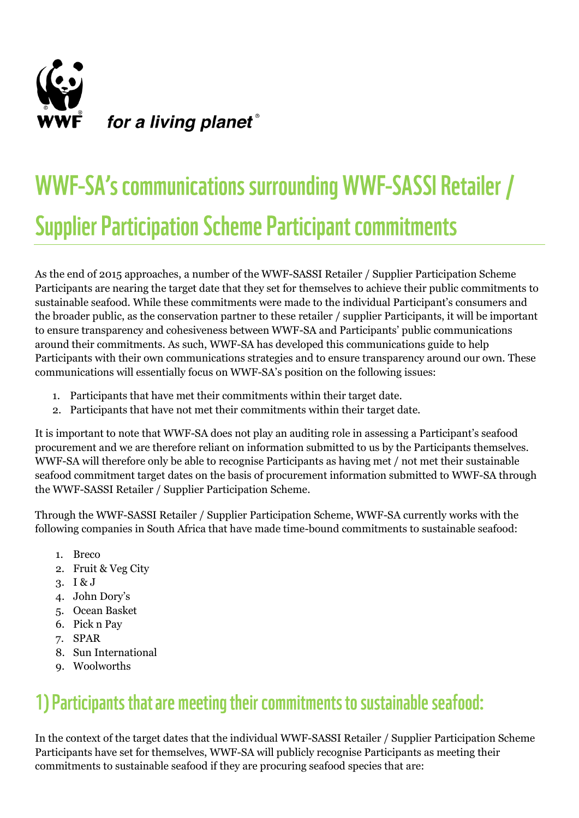

## WWF-SA's communications surrounding WWF-SASSI Retailer / **Supplier Participation Scheme Participant commitments**

As the end of 2015 approaches, a number of the WWF-SASSI Retailer / Supplier Participation Scheme Participants are nearing the target date that they set for themselves to achieve their public commitments to sustainable seafood. While these commitments were made to the individual Participant's consumers and the broader public, as the conservation partner to these retailer / supplier Participants, it will be important to ensure transparency and cohesiveness between WWF-SA and Participants' public communications around their commitments. As such, WWF-SA has developed this communications guide to help Participants with their own communications strategies and to ensure transparency around our own. These communications will essentially focus on WWF-SA's position on the following issues:

- 1. Participants that have met their commitments within their target date.
- 2. Participants that have not met their commitments within their target date.

It is important to note that WWF-SA does not play an auditing role in assessing a Participant's seafood procurement and we are therefore reliant on information submitted to us by the Participants themselves. WWF-SA will therefore only be able to recognise Participants as having met / not met their sustainable seafood commitment target dates on the basis of procurement information submitted to WWF-SA through the WWF-SASSI Retailer / Supplier Participation Scheme.

Through the WWF-SASSI Retailer / Supplier Participation Scheme, WWF-SA currently works with the following companies in South Africa that have made time-bound commitments to sustainable seafood:

- 1. Breco
- 2. Fruit & Veg City
- 3. I & J
- 4. John Dory's
- 5. Ocean Basket
- 6. Pick n Pay
- 7. SPAR
- 8. Sun International
- 9. Woolworths

## 1) Participants that are meeting their commitments to sustainable seafood:

In the context of the target dates that the individual WWF-SASSI Retailer / Supplier Participation Scheme Participants have set for themselves, WWF-SA will publicly recognise Participants as meeting their commitments to sustainable seafood if they are procuring seafood species that are: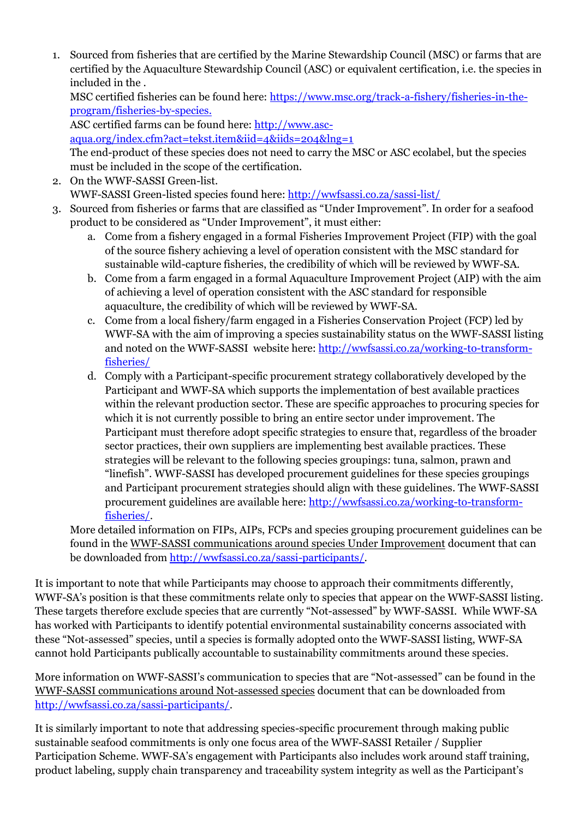1. Sourced from fisheries that are certified by the Marine Stewardship Council (MSC) or farms that are certified by the Aquaculture Stewardship Council (ASC) or equivalent certification, i.e. the species in included in the .

MSC certified fisheries can be found here: [https://www.msc.org/track-a-fishery/fisheries-in-the](https://www.msc.org/track-a-fishery/fisheries-in-the-program/fisheries-by-species)[program/fisheries-by-species.](https://www.msc.org/track-a-fishery/fisheries-in-the-program/fisheries-by-species)

ASC certified farms can be found here[: http://www.asc-](http://www.asc-aqua.org/index.cfm?act=tekst.item&iid=4&iids=204&lng=1)

[aqua.org/index.cfm?act=tekst.item&iid=4&iids=204&lng=1](http://www.asc-aqua.org/index.cfm?act=tekst.item&iid=4&iids=204&lng=1)

The end-product of these species does not need to carry the MSC or ASC ecolabel, but the species must be included in the scope of the certification.

- 2. On the WWF-SASSI Green-list. WWF-SASSI Green-listed species found here: <http://wwfsassi.co.za/sassi-list/>
- 3. Sourced from fisheries or farms that are classified as "Under Improvement". In order for a seafood product to be considered as "Under Improvement", it must either:
	- a. Come from a fishery engaged in a formal Fisheries Improvement Project (FIP) with the goal of the source fishery achieving a level of operation consistent with the MSC standard for sustainable wild-capture fisheries, the credibility of which will be reviewed by WWF-SA.
	- b. Come from a farm engaged in a formal Aquaculture Improvement Project (AIP) with the aim of achieving a level of operation consistent with the ASC standard for responsible aquaculture, the credibility of which will be reviewed by WWF-SA.
	- c. Come from a local fishery/farm engaged in a Fisheries Conservation Project (FCP) led by WWF-SA with the aim of improving a species sustainability status on the WWF-SASSI listing and noted on the WWF-SASSI website here: [http://wwfsassi.co.za/working-to-transform](http://wwfsassi.co.za/working-to-transform-fisheries/)[fisheries/](http://wwfsassi.co.za/working-to-transform-fisheries/)
	- d. Comply with a Participant-specific procurement strategy collaboratively developed by the Participant and WWF-SA which supports the implementation of best available practices within the relevant production sector. These are specific approaches to procuring species for which it is not currently possible to bring an entire sector under improvement. The Participant must therefore adopt specific strategies to ensure that, regardless of the broader sector practices, their own suppliers are implementing best available practices. These strategies will be relevant to the following species groupings: tuna, salmon, prawn and "linefish". WWF-SASSI has developed procurement guidelines for these species groupings and Participant procurement strategies should align with these guidelines. The WWF-SASSI procurement guidelines are available here: [http://wwfsassi.co.za/working-to-transform](http://wwfsassi.co.za/working-to-transform-fisheries/)[fisheries/.](http://wwfsassi.co.za/working-to-transform-fisheries/)

More detailed information on FIPs, AIPs, FCPs and species grouping procurement guidelines can be found in the WWF-SASSI communications around species Under Improvement document that can be downloaded from [http://wwfsassi.co.za/sassi-participants/.](http://wwfsassi.co.za/sassi-participants/)

It is important to note that while Participants may choose to approach their commitments differently, WWF-SA's position is that these commitments relate only to species that appear on the WWF-SASSI listing. These targets therefore exclude species that are currently "Not-assessed" by WWF-SASSI. While WWF-SA has worked with Participants to identify potential environmental sustainability concerns associated with these "Not-assessed" species, until a species is formally adopted onto the WWF-SASSI listing, WWF-SA cannot hold Participants publically accountable to sustainability commitments around these species.

More information on WWF-SASSI's communication to species that are "Not-assessed" can be found in the WWF-SASSI communications around Not-assessed species document that can be downloaded from [http://wwfsassi.co.za/sassi-participants/.](http://wwfsassi.co.za/sassi-participants/)

It is similarly important to note that addressing species-specific procurement through making public sustainable seafood commitments is only one focus area of the WWF-SASSI Retailer / Supplier Participation Scheme. WWF-SA's engagement with Participants also includes work around staff training, product labeling, supply chain transparency and traceability system integrity as well as the Participant's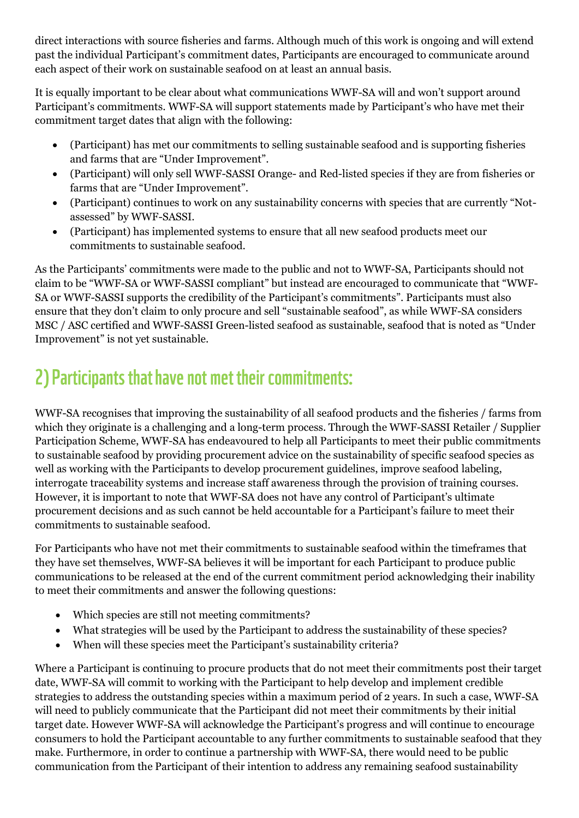direct interactions with source fisheries and farms. Although much of this work is ongoing and will extend past the individual Participant's commitment dates, Participants are encouraged to communicate around each aspect of their work on sustainable seafood on at least an annual basis.

It is equally important to be clear about what communications WWF-SA will and won't support around Participant's commitments. WWF-SA will support statements made by Participant's who have met their commitment target dates that align with the following:

- (Participant) has met our commitments to selling sustainable seafood and is supporting fisheries and farms that are "Under Improvement".
- (Participant) will only sell WWF-SASSI Orange- and Red-listed species if they are from fisheries or farms that are "Under Improvement".
- (Participant) continues to work on any sustainability concerns with species that are currently "Notassessed" by WWF-SASSI.
- (Participant) has implemented systems to ensure that all new seafood products meet our commitments to sustainable seafood.

As the Participants' commitments were made to the public and not to WWF-SA, Participants should not claim to be "WWF-SA or WWF-SASSI compliant" but instead are encouraged to communicate that "WWF-SA or WWF-SASSI supports the credibility of the Participant's commitments". Participants must also ensure that they don't claim to only procure and sell "sustainable seafood", as while WWF-SA considers MSC / ASC certified and WWF-SASSI Green-listed seafood as sustainable, seafood that is noted as "Under Improvement" is not yet sustainable.

## 2) Participants that have not met their commitments:

WWF-SA recognises that improving the sustainability of all seafood products and the fisheries / farms from which they originate is a challenging and a long-term process. Through the WWF-SASSI Retailer / Supplier Participation Scheme, WWF-SA has endeavoured to help all Participants to meet their public commitments to sustainable seafood by providing procurement advice on the sustainability of specific seafood species as well as working with the Participants to develop procurement guidelines, improve seafood labeling, interrogate traceability systems and increase staff awareness through the provision of training courses. However, it is important to note that WWF-SA does not have any control of Participant's ultimate procurement decisions and as such cannot be held accountable for a Participant's failure to meet their commitments to sustainable seafood.

For Participants who have not met their commitments to sustainable seafood within the timeframes that they have set themselves, WWF-SA believes it will be important for each Participant to produce public communications to be released at the end of the current commitment period acknowledging their inability to meet their commitments and answer the following questions:

- Which species are still not meeting commitments?
- What strategies will be used by the Participant to address the sustainability of these species?
- When will these species meet the Participant's sustainability criteria?

Where a Participant is continuing to procure products that do not meet their commitments post their target date, WWF-SA will commit to working with the Participant to help develop and implement credible strategies to address the outstanding species within a maximum period of 2 years. In such a case, WWF-SA will need to publicly communicate that the Participant did not meet their commitments by their initial target date. However WWF-SA will acknowledge the Participant's progress and will continue to encourage consumers to hold the Participant accountable to any further commitments to sustainable seafood that they make. Furthermore, in order to continue a partnership with WWF-SA, there would need to be public communication from the Participant of their intention to address any remaining seafood sustainability